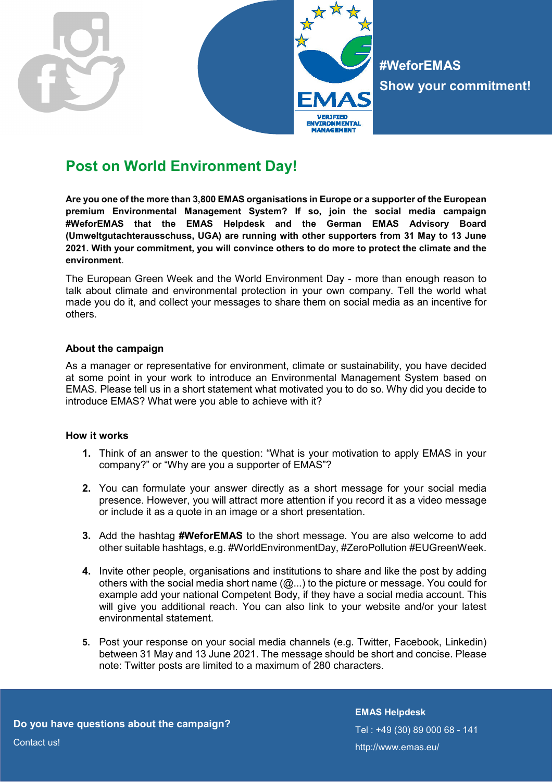

## **Post on World Environment Day!**

**Are you one of the more than 3,800 EMAS organisations in Europe or a supporter of the European premium Environmental Management System? If so, join the social media campaign #WeforEMAS that the EMAS Helpdesk and the German EMAS Advisory Board (Umweltgutachterausschuss, UGA) are running with other supporters from 31 May to 13 June 2021. With your commitment, you will convince others to do more to protect the climate and the environment**.

The European Green Week and the World Environment Day - more than enough reason to talk about climate and environmental protection in your own company. Tell the world what made you do it, and collect your messages to share them on social media as an incentive for others.

## **About the campaign**

As a manager or representative for environment, climate or sustainability, you have decided at some point in your work to introduce an Environmental Management System based on EMAS. Please tell us in a short statement what motivated you to do so. Why did you decide to introduce EMAS? What were you able to achieve with it?

## **How it works**

- **1.** Think of an answer to the question: "What is your motivation to apply EMAS in your company?" or "Why are you a supporter of EMAS"?
- **2.** You can formulate your answer directly as a short message for your social media presence. However, you will attract more attention if you record it as a video message or include it as a quote in an image or a short presentation.
- **3.** Add the hashtag **#WeforEMAS** to the short message. You are also welcome to add other suitable hashtags, e.g. #WorldEnvironmentDay, #ZeroPollution #EUGreenWeek.
- **4.** Invite other people, organisations and institutions to share and like the post by adding others with the social media short name (@...) to the picture or message. You could for example add your national Competent Body, if they have a social media account. This will give you additional reach. You can also link to your website and/or your latest environmental statement.
- **5.** Post your response on your social media channels (e.g. Twitter, Facebook, Linkedin) between 31 May and 13 June 2021. The message should be short and concise. Please note: Twitter posts are limited to a maximum of 280 characters.

**Do you have questions about the campaign? Do you have questions about the campaign?** 

**EMAS Helpdesk**  Tel : +49 (30) 89 000 68 - 141 http://www.emas.eu/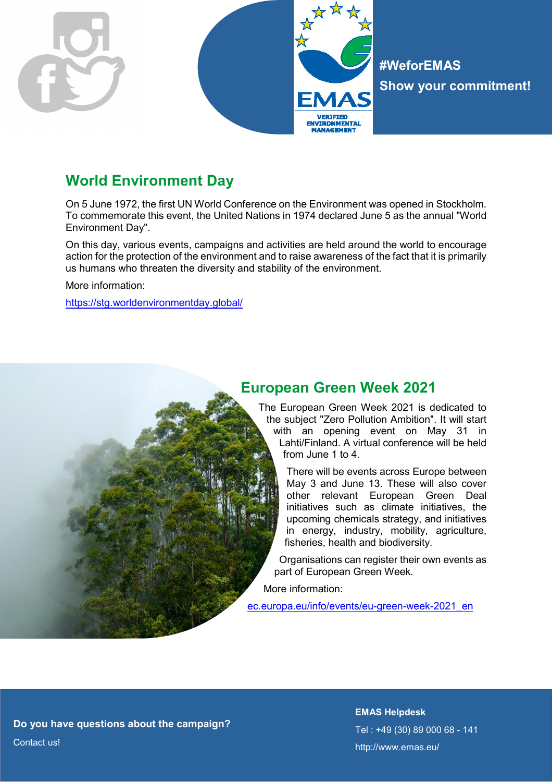

**#WeforEMAS Show your commitment!** 

# **World Environment Day**

On 5 June 1972, the first UN World Conference on the Environment was opened in Stockholm. To commemorate this event, the United Nations in 1974 declared June 5 as the annual "World Environment Day".

On this day, various events, campaigns and activities are held around the world to encourage action for the protection of the environment and to raise awareness of the fact that it is primarily us humans who threaten the diversity and stability of the environment.

More information:

https://stg.worldenvironmentday.global/

## **European Green Week 2021**

The European Green Week 2021 is dedicated to the subject "Zero Pollution Ambition". It will start with an opening event on May 31 in Lahti/Finland. A virtual conference will be held from June 1 to 4.

> There will be events across Europe between May 3 and June 13. These will also cover other relevant European Green Deal initiatives such as climate initiatives, the upcoming chemicals strategy, and initiatives in energy, industry, mobility, agriculture, fisheries, health and biodiversity.

Organisations can register their own events as part of European Green Week.

More information:

ec.europa.eu/info/events/eu-green-week-2021\_en

**Do you have questions about the campaign? Do you have questions about the campaign?** Contact us!

**EMAS Helpdesk**  Tel : +49 (30) 89 000 68 - 141 http://www.emas.eu/